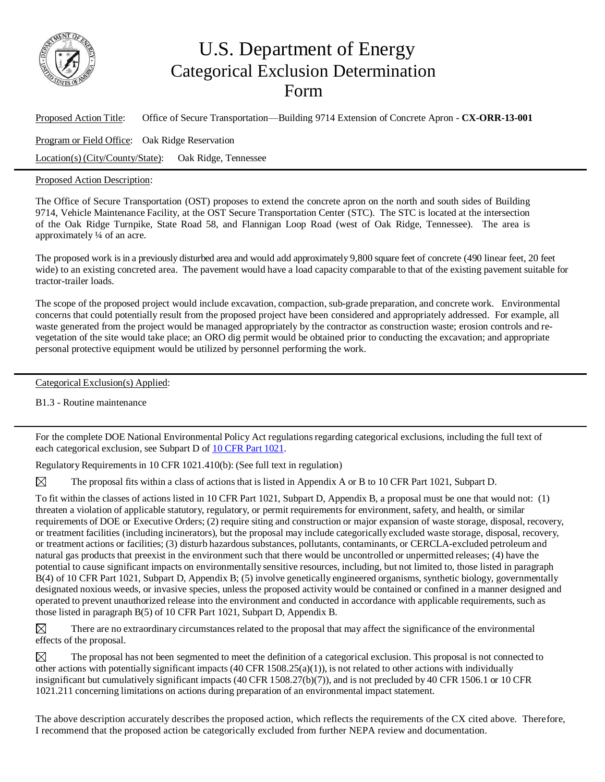

## U.S. Department of Energy Categorical Exclusion Determination Form

Proposed Action Title: Office of Secure Transportation—Building 9714 Extension of Concrete Apron - **CX-ORR-13-001** Program or Field Office: Oak Ridge Reservation Location(s) (City/County/State): Oak Ridge, Tennessee

Proposed Action Description:

The Office of Secure Transportation (OST) proposes to extend the concrete apron on the north and south sides of Building 9714, Vehicle Maintenance Facility, at the OST Secure Transportation Center (STC). The STC is located at the intersection of the Oak Ridge Turnpike, State Road 58, and Flannigan Loop Road (west of Oak Ridge, Tennessee). The area is approximately ¼ of an acre.

The proposed work is in a previously disturbed area and would add approximately 9,800 square feet of concrete (490 linear feet, 20 feet wide) to an existing concreted area. The pavement would have a load capacity comparable to that of the existing pavement suitable for tractor-trailer loads.

The scope of the proposed project would include excavation, compaction, sub-grade preparation, and concrete work. Environmental concerns that could potentially result from the proposed project have been considered and appropriately addressed. For example, all waste generated from the project would be managed appropriately by the contractor as construction waste; erosion controls and revegetation of the site would take place; an ORO dig permit would be obtained prior to conducting the excavation; and appropriate personal protective equipment would be utilized by personnel performing the work.

Categorical Exclusion(s) Applied:

B1.3 - Routine maintenance

For the complete DOE National Environmental Policy Act regulations regarding categorical exclusions, including the full text of each categorical exclusion, see Subpart D of 10 CFR Part [1021.](http://energy.gov/nepa/downloads/10-cfr-1021-department-energy-national-environmental-policy-act-implementing)

Regulatory Requirements in 10 CFR 1021.410(b): (See full text in regulation)

⊠ The proposal fits within a class of actions that is listed in Appendix A or B to 10 CFR Part 1021, Subpart D.

To fit within the classes of actions listed in 10 CFR Part 1021, Subpart D, Appendix B, a proposal must be one that would not: (1) threaten a violation of applicable statutory, regulatory, or permit requirements for environment, safety, and health, or similar requirements of DOE or Executive Orders; (2) require siting and construction or major expansion of waste storage, disposal, recovery, or treatment facilities (including incinerators), but the proposal may include categorically excluded waste storage, disposal, recovery, or treatment actions or facilities; (3) disturb hazardous substances, pollutants, contaminants, or CERCLA-excluded petroleum and natural gas products that preexist in the environment such that there would be uncontrolled or unpermitted releases; (4) have the potential to cause significant impacts on environmentally sensitive resources, including, but not limited to, those listed in paragraph B(4) of 10 CFR Part 1021, Subpart D, Appendix B; (5) involve genetically engineered organisms, synthetic biology, governmentally designated noxious weeds, or invasive species, unless the proposed activity would be contained or confined in a manner designed and operated to prevent unauthorized release into the environment and conducted in accordance with applicable requirements, such as those listed in paragraph B(5) of 10 CFR Part 1021, Subpart D, Appendix B.

 $\boxtimes$ There are no extraordinary circumstances related to the proposal that may affect the significance of the environmental effects of the proposal.

⊠ The proposal has not been segmented to meet the definition of a categorical exclusion. This proposal is not connected to other actions with potentially significant impacts  $(40 \text{ CFR } 1508.25(a)(1))$ , is not related to other actions with individually insignificant but cumulatively significant impacts (40 CFR 1508.27(b)(7)), and is not precluded by 40 CFR 1506.1 or 10 CFR 1021.211 concerning limitations on actions during preparation of an environmental impact statement.

The above description accurately describes the proposed action, which reflects the requirements of the CX cited above. Therefore, I recommend that the proposed action be categorically excluded from further NEPA review and documentation.